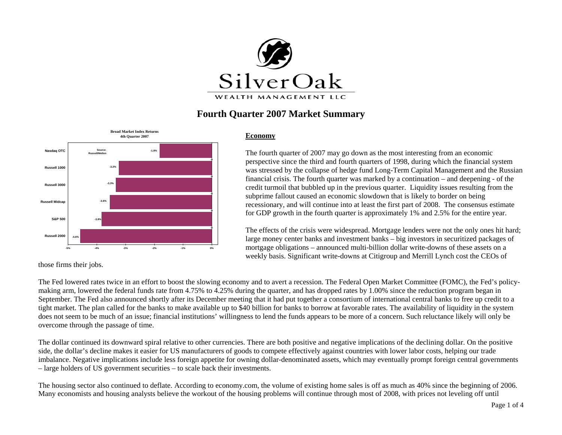

# **Fourth Quarter 2007 Market Summary**



#### **Economy**

The fourth quarter of 2007 may go down as the most interesting from an economic perspective since the third and fourth quarters of 1998, during which the financial system was stressed by the collapse of hedge fund Long-Term Capital Management and the Russian financial crisis. The fourth quarter was marked by a continuation – and deepening - of the credit turmoil that bubbled up in the previous quarter. Liquidity issues resulting from the subprime fallout caused an economic slowdown that is likely to border on being recessionary, and will continue into at least the first part of 2008. The consensus estimate for GDP growth in the fourth quarter is approximately 1% and 2.5% for the entire year.

The effects of the crisis were widespread. Mortgage lenders were not the only ones hit hard; large money center banks and investment banks – big investors in securitized packages of mortgage obligations – announced multi-billion dollar write-downs of these assets on a weekly basis. Significant write-downs at Citigroup and Merrill Lynch cost the CEOs of

those firms their jobs.

The Fed lowered rates twice in an effort to boost the slowing economy and to avert a recession. The Federal Open Market Committee (FOMC), the Fed's policymaking arm, lowered the federal funds rate from 4.75% to 4.25% during the quarter, and has dropped rates by 1.00% since the reduction program began in September. The Fed also announced shortly after its December meeting that it had put together a consortium of international central banks to free up credit to a tight market. The plan called for the banks to make available up to \$40 billion for banks to borrow at favorable rates. The availability of liquidity in the system does not seem to be much of an issue; financial institutions' willingness to lend the funds appears to be more of a concern. Such reluctance likely will only be overcome through the passage of time.

The dollar continued its downward spiral relative to other currencies. There are both positive and negative implications of the declining dollar. On the positive side, the dollar's decline makes it easier for US manufacturers of goods to compete effectively against countries with lower labor costs, helping our trade imbalance. Negative implications include less foreign appetite for owning dollar-denominated assets, which may eventually prompt foreign central governments – large holders of US government securities – to scale back their investments.

The housing sector also continued to deflate. According to economy.com, the volume of existing home sales is off as much as 40% since the beginning of 2006. Many economists and housing analysts believe the workout of the housing problems will continue through most of 2008, with prices not leveling off until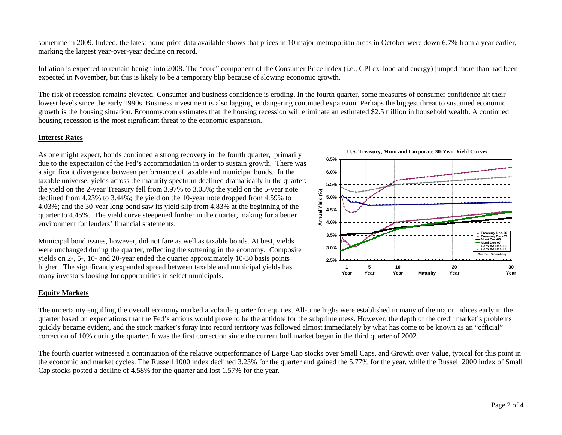sometime in 2009. Indeed, the latest home price data available shows that prices in 10 major metropolitan areas in October were down 6.7% from a year earlier, marking the largest year-over-year decline on record.

Inflation is expected to remain benign into 2008. The "core" component of the Consumer Price Index (i.e., CPI ex-food and energy) jumped more than had been expected in November, but this is likely to be a temporary blip because of slowing economic growth.

The risk of recession remains elevated. Consumer and business confidence is eroding. In the fourth quarter, some measures of consumer confidence hit their lowest levels since the early 1990s. Business investment is also lagging, endangering continued expansion. Perhaps the biggest threat to sustained economic growth is the housing situation. Economy.com estimates that the housing recession will eliminate an estimated \$2.5 trillion in household wealth. A continued housing recession is the most significant threat to the economic expansion.

### **Interest Rates**

As one might expect, bonds continued a strong recovery in the fourth quarter, primarily due to the expectation of the Fed's accommodation in order to sustain growth. There was a significant divergence between performance of taxable and municipal bonds. In the taxable universe, yields across the maturity spectrum declined dramatically in the quarter: the yield on the 2-year Treasury fell from 3.97% to 3.05%; the yield on the 5-year note declined from 4.23% to 3.44%; the yield on the 10-year note dropped from 4.59% to 4.03%; and the 30-year long bond saw its yield slip from 4.83% at the beginning of the quarter to 4.45%. The yield curve steepened further in the quarter, making for a better environment for lenders' financial statements.

Municipal bond issues, however, did not fare as well as taxable bonds. At best, yields were unchanged during the quarter, reflecting the softening in the economy. Composite yields on 2-, 5-, 10- and 20-year ended the quarter approximately 10-30 basis points higher. The significantly expanded spread between taxable and municipal yields has many investors looking for opportunities in select municipals.

## **Equity Markets**

The uncertainty engulfing the overall economy marked a volatile quarter for equities. All-time highs were established in many of the major indices early in the quarter based on expectations that the Fed's actions would prove to be the antidote for the subprime mess. However, the depth of the credit market's problems quickly became evident, and the stock market's foray into record territory was followed almost immediately by what has come to be known as an "official" correction of 10% during the quarter. It was the first correction since the current bull market began in the third quarter of 2002.

The fourth quarter witnessed a continuation of the relative outperformance of Large Cap stocks over Small Caps, and Growth over Value, typical for this point in the economic and market cycles. The Russell 1000 index declined 3.23% for the quarter and gained the 5.77% for the year, while the Russell 2000 index of Small Cap stocks posted a decline of 4.58% for the quarter and lost 1.57% for the year.

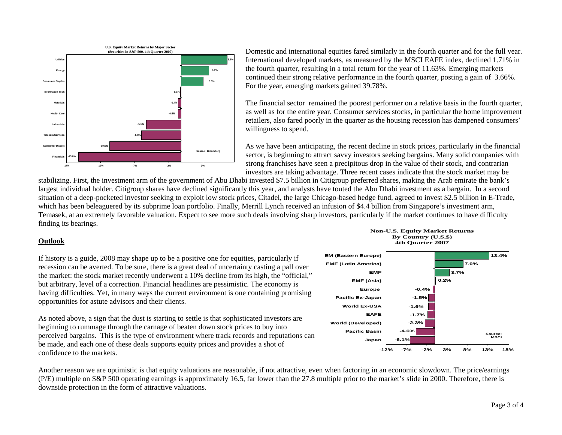

Domestic and international equities fared similarly in the fourth quarter and for the full year. International developed markets, as measured by the MSCI EAFE index, declined 1.71% in the fourth quarter, resulting in a total return for the year of 11.63%. Emerging markets continued their strong relative performance in the fourth quarter, posting a gain of 3.66%. For the year, emerging markets gained 39.78%.

The financial sector remained the poorest performer on a relative basis in the fourth quarter, as well as for the entire year. Consumer services stocks, in particular the home improvement retailers, also fared poorly in the quarter as the housing recession has dampened consumers' willingness to spend.

As we have been anticipating, the recent decline in stock prices, particularly in the financial sector, is beginning to attract savvy investors seeking bargains. Many solid companies with strong franchises have seen a precipitous drop in the value of their stock, and contrarian investors are taking advantage. Three recent cases indicate that the stock market may be

stabilizing. First, the investment arm of the government of Abu Dhabi invested \$7.5 billion in Citigroup preferred shares, making the Arab emirate the bank's largest individual holder. Citigroup shares have declined significantly this year, and analysts have touted the Abu Dhabi investment as a bargain. In a second situation of a deep-pocketed investor seeking to exploit low stock prices, Citadel, the large Chicago-based hedge fund, agreed to invest \$2.5 billion in E-Trade, which has been beleaguered by its subprime loan portfolio. Finally, Merrill Lynch received an infusion of \$4.4 billion from Singapore's investment arm, Temasek, at an extremely favorable valuation. Expect to see more such deals involving sharp investors, particularly if the market continues to have difficulty finding its bearings.

#### **Outlook**

If history is a guide, 2008 may shape up to be a positive one for equities, particularly if recession can be averted. To be sure, there is a great deal of uncertainty casting a pall over the market: the stock market recently underwent a 10% decline from its high, the "official," but arbitrary, level of a correction. Financial headlines are pessimistic. The economy is having difficulties. Yet, in many ways the current environment is one containing promising opportunities for astute advisors and their clients.

As noted above, a sign that the dust is starting to settle is that sophisticated investors are beginning to rummage through the carnage of beaten down stock prices to buy into perceived bargains. This is the type of environment where track records and reputations can be made, and each one of these deals supports equity prices and provides a shot of confidence to the markets.



**Non-U.S. Equity Market Returns By Country (U.S.\$) 4th Quarter 2007**